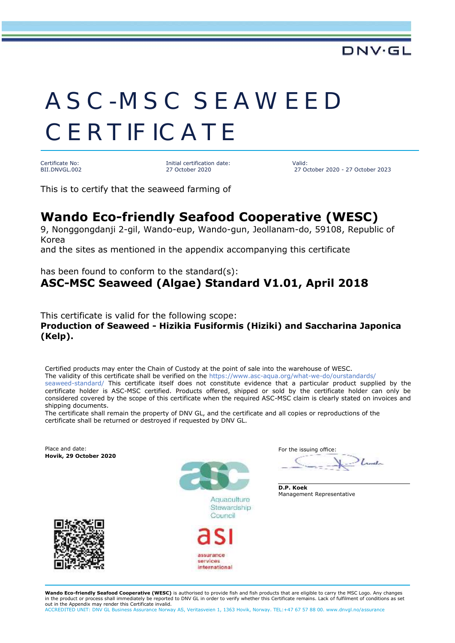# ASC-MSC SEAWEED **CERTIFICATE**

Certificate No: BII.DNVGL.002 Initial certification date: 27 October 2020

Valid: 27 October 2020 - 27 October 2023

DNV·GI

This is to certify that the seaweed farming of

### **Wando Eco-friendly Seafood Cooperative (WESC)**

9, Nonggongdanji 2-gil, Wando-eup, Wando-gun, Jeollanam-do, 59108, Republic of Korea

and the sites as mentioned in the appendix accompanying this certificate

has been found to conform to the standard(s): **ASC-MSC Seaweed (Algae) Standard V1.01, April 2018**

This certificate is valid for the following scope: **Production of Seaweed - Hizikia Fusiformis (Hiziki) and Saccharina Japonica (Kelp).**

Certified products may enter the Chain of Custody at the point of sale into the warehouse of WESC. The validity of this certificate shall be verified on the https://www.asc-aqua.org/what-we-do/ourstandards/ seaweed-standard/ This certificate itself does not constitute evidence that a particular product supplied by the certificate holder is ASC-MSC certified. Products offered, shipped or sold by the certificate holder can only be considered covered by the scope of this certificate when the required ASC-MSC claim is clearly stated on invoices and shipping documents.

The certificate shall remain the property of DNV GL, and the certificate and all copies or reproductions of the certificate shall be returned or destroyed if requested by DNV GL.



**Wando Eco-friendly Seafood Cooperative (WESC)** is authorised to provide fish and fish products that are eligible to carry the MSC Logo. Any changes in the product or process shall immediately be reported to DNV GL in order to verify whether this Certificate remains. Lack of fulfilment of conditions as set out in the Appendix may render this Certificate invalid. ACCREDITED UNIT: DNV GL Business Assurance Norway AS, Veritasveien 1, 1363 Hovik, Norway. TEL:+47 67 57 88 00. www.dnvgl.no/assurance